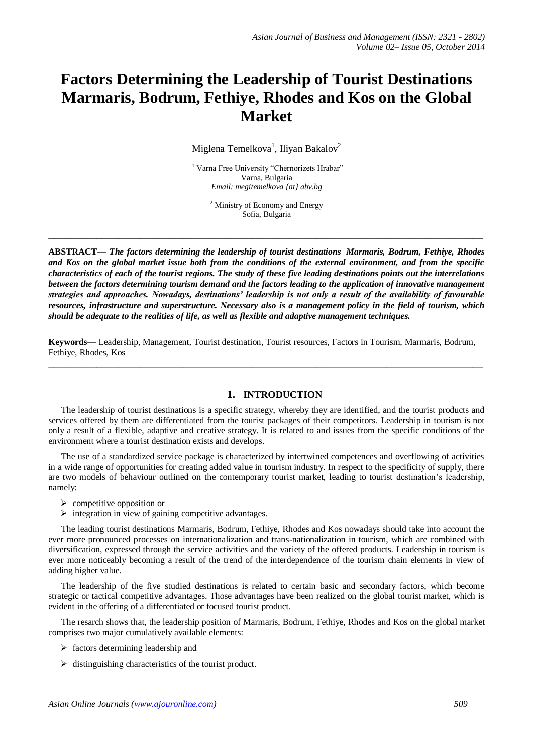# **Factors Determining the Leadership of Tourist Destinations Marmaris, Bodrum, Fethiye, Rhodes and Kos on the Global Market**

Miglena Temelkova<sup>1</sup>, Iliyan Bakalov<sup>2</sup>

<sup>1</sup> Varna Free University "Chernorizets Hrabar" Varna, Bulgaria *Email: megitemelkova {at} abv.bg*

> <sup>2</sup> Ministry of Economy and Energy Sofia, Bulgaria

**\_\_\_\_\_\_\_\_\_\_\_\_\_\_\_\_\_\_\_\_\_\_\_\_\_\_\_\_\_\_\_\_\_\_\_\_\_\_\_\_\_\_\_\_\_\_\_\_\_\_\_\_\_\_\_\_\_\_\_\_\_\_\_\_\_\_\_\_\_\_\_\_\_\_\_\_\_\_\_\_\_**

**ABSTRACT—** *The factors determining the leadership of tourist destinations Marmaris, Bodrum, Fethiye, Rhodes and Kos on the global market issue both from the conditions of the external environment, and from the specific characteristics of each of the tourist regions. The study of these five leading destinations points out the interrelations between the factors determining tourism demand and the factors leading to the application of innovative management strategies and approaches. Nowadays, destinations' leadership is not only a result of the availability of favourable resources, infrastructure and superstructure. Necessary also is a management policy in the field of tourism, which should be adequate to the realities of life, as well as flexible and adaptive management techniques.*

**Keywords—** Leadership, Management, Tourist destination, Tourist resources, Factors in Tourism, Marmaris, Bodrum, Fethiye, Rhodes, Kos

**\_\_\_\_\_\_\_\_\_\_\_\_\_\_\_\_\_\_\_\_\_\_\_\_\_\_\_\_\_\_\_\_\_\_\_\_\_\_\_\_\_\_\_\_\_\_\_\_\_\_\_\_\_\_\_\_\_\_\_\_\_\_\_\_\_\_\_\_\_\_\_\_\_\_\_\_\_\_\_\_\_**

#### **1. INTRODUCTION**

The leadership of tourist destinations is a specific strategy, whereby they are identified, and the tourist products and services offered by them are differentiated from the tourist packages of their competitors. Leadership in tourism is not only a result of a flexible, adaptive and creative strategy. It is related to and issues from the specific conditions of the environment where a tourist destination exists and develops.

The use of a standardized service package is characterized by intertwined competences and overflowing of activities in a wide range of opportunities for creating added value in tourism industry. In respect to the specificity of supply, there are two models of behaviour outlined on the contemporary tourist market, leading to tourist destination's leadership, namely:

- $\triangleright$  competitive opposition or
- $\triangleright$  integration in view of gaining competitive advantages.

The leading tourist destinations Marmaris, Bodrum, Fethiye, Rhodes and Kos nowadays should take into account the ever more pronounced processes on internationalization and trans-nationalization in tourism, which are combined with diversification, expressed through the service activities and the variety of the offered products. Leadership in tourism is ever more noticeably becoming a result of the trend of the interdependence of the tourism chain elements in view of adding higher value.

The leadership of the five studied destinations is related to certain basic and secondary factors, which become strategic or tactical competitive advantages. Those advantages have been realized on the global tourist market, which is evident in the offering of a differentiated or focused tourist product.

The resarch shows that, the leadership position of Marmaris, Bodrum, Fethiye, Rhodes and Kos on the global market comprises two major cumulatively available elements:

- $\triangleright$  factors determining leadership and
- $\triangleright$  distinguishing characteristics of the tourist product.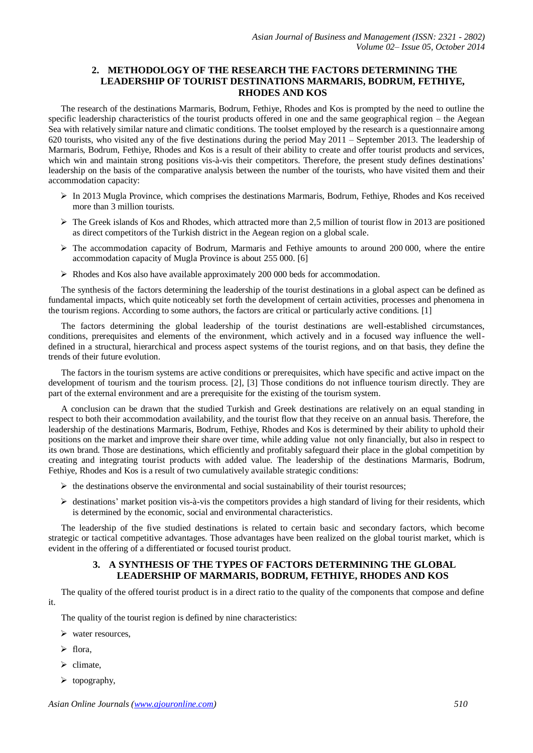#### **2. METHODOLOGY OF THE RESEARCH THE FACTORS DETERMINING THE LEADERSHIP OF TOURIST DESTINATIONS MARMARIS, BODRUM, FETHIYE, RHODES AND KOS**

The research of the destinations Marmaris, Bodrum, Fethiye, Rhodes and Kos is prompted by the need to outline the specific leadership characteristics of the tourist products offered in one and the same geographical region – the Aegean Sea with relatively similar nature and climatic conditions. The toolset employed by the research is a questionnaire among 620 tourists, who visited any of the five destinations during the period May 2011 – September 2013. The leadership of Marmaris, Bodrum, Fethiye, Rhodes and Kos is a result of their ability to create and offer tourist products and services, which win and maintain strong positions vis-à-vis their competitors. Therefore, the present study defines destinations' leadership on the basis of the comparative analysis between the number of the tourists, who have visited them and their accommodation capacity:

- $\triangleright$  In 2013 Mugla Province, which comprises the destinations Marmaris, Bodrum, Fethiye, Rhodes and Kos received more than 3 million tourists.
- $\triangleright$  The Greek islands of Kos and Rhodes, which attracted more than 2,5 million of tourist flow in 2013 are positioned as direct competitors of the Turkish district in the Aegean region on a global scale.
- $\triangleright$  The accommodation capacity of Bodrum, Marmaris and Fethiye amounts to around 200 000, where the entire accommodation capacity of Mugla Province is about 255 000. [6]
- $\triangleright$  Rhodes and Kos also have available approximately 200 000 beds for accommodation.

The synthesis of the factors determining the leadership of the tourist destinations in a global aspect can be defined as fundamental impacts, which quite noticeably set forth the development of certain activities, processes and phenomena in the tourism regions. According to some authors, the factors are critical or particularly active conditions. [1]

The factors determining the global leadership of the tourist destinations are well-established circumstances, conditions, prerequisites and elements of the environment, which actively and in a focused way influence the welldefined in a structural, hierarchical and process aspect systems of the tourist regions, and on that basis, they define the trends of their future evolution.

The factors in the tourism systems are active conditions or prerequisites, which have specific and active impact on the development of tourism and the tourism process. [2], [3] Those conditions do not influence tourism directly. They are part of the external environment and are a prerequisite for the existing of the tourism system.

A conclusion can be drawn that the studied Turkish and Greek destinations are relatively on an equal standing in respect to both their accommodation availability, and the tourist flow that they receive on an annual basis. Therefore, the leadership of the destinations Marmaris, Bodrum, Fethiye, Rhodes and Kos is determined by their ability to uphold their positions on the market and improve their share over time, while adding value not only financially, but also in respect to its own brand. Those are destinations, which efficiently and profitably safeguard their place in the global competition by creating and integrating tourist products with added value. The leadership of the destinations Marmaris, Bodrum, Fethiye, Rhodes and Kos is a result of two cumulatively available strategic conditions:

- $\triangleright$  the destinations observe the environmental and social sustainability of their tourist resources;
- $\triangleright$  destinations' market position vis-à-vis the competitors provides a high standard of living for their residents, which is determined by the economic, social and environmental characteristics.

The leadership of the five studied destinations is related to certain basic and secondary factors, which become strategic or tactical competitive advantages. Those advantages have been realized on the global tourist market, which is evident in the offering of a differentiated or focused tourist product.

#### **3. A SYNTHESIS OF THE TYPES OF FACTORS DETERMINING THE GLOBAL LEADERSHIP OF MARMARIS, BODRUM, FETHIYE, RHODES AND KOS**

The quality of the offered tourist product is in a direct ratio to the quality of the components that compose and define it.

The quality of the tourist region is defined by nine characteristics:

- $\triangleright$  water resources.
- $\triangleright$  flora,
- climate,
- $\triangleright$  topography,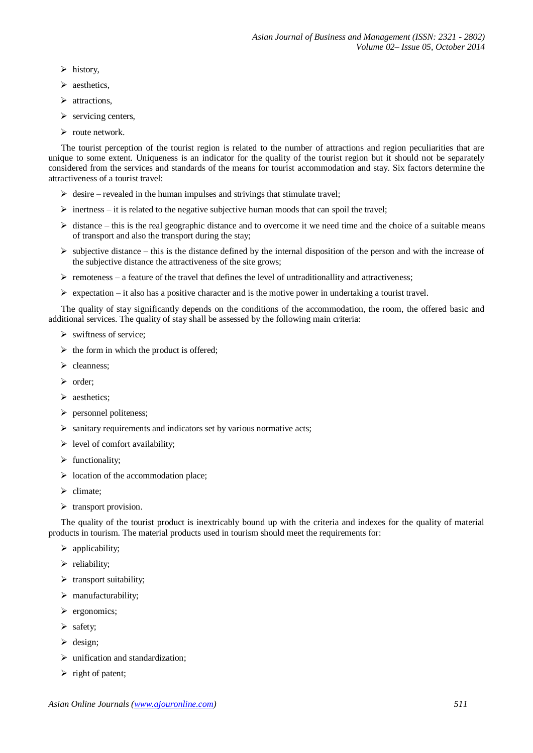- $\triangleright$  history,
- $\triangleright$  aesthetics.
- $\triangleright$  attractions,
- $\triangleright$  servicing centers,
- $\triangleright$  route network.

The tourist perception of the tourist region is related to the number of attractions and region peculiarities that are unique to some extent. Uniqueness is an indicator for the quality of the tourist region but it should not be separately considered from the services and standards of the means for tourist accommodation and stay. Six factors determine the attractiveness of a tourist travel:

- $\triangleright$  desire revealed in the human impulses and strivings that stimulate travel;
- $\triangleright$  inertness it is related to the negative subjective human moods that can spoil the travel;
- $\triangleright$  distance this is the real geographic distance and to overcome it we need time and the choice of a suitable means of transport and also the transport during the stay;
- $\triangleright$  subjective distance this is the distance defined by the internal disposition of the person and with the increase of the subjective distance the attractiveness of the site grows;
- $\triangleright$  remoteness a feature of the travel that defines the level of untraditionallity and attractiveness;
- $\triangleright$  expectation it also has a positive character and is the motive power in undertaking a tourist travel.

The quality of stay significantly depends on the conditions of the accommodation, the room, the offered basic and additional services. The quality of stay shall be assessed by the following main criteria:

- $\triangleright$  swiftness of service:
- $\triangleright$  the form in which the product is offered;
- $\triangleright$  cleanness;
- $\triangleright$  order;
- $\triangleright$  aesthetics:
- $\triangleright$  personnel politeness;
- $\triangleright$  sanitary requirements and indicators set by various normative acts;
- $\triangleright$  level of comfort availability;
- $\triangleright$  functionality:
- $\triangleright$  location of the accommodation place;
- $\triangleright$  climate;
- $\triangleright$  transport provision.

The quality of the tourist product is inextricably bound up with the criteria and indexes for the quality of material products in tourism. The material products used in tourism should meet the requirements for:

- $\triangleright$  applicability;
- $\triangleright$  reliability;
- $\triangleright$  transport suitability;
- $\triangleright$  manufacturability;
- $\triangleright$  ergonomics;
- $\triangleright$  safety;
- $\triangleright$  design;
- $\triangleright$  unification and standardization;
- $\triangleright$  right of patent;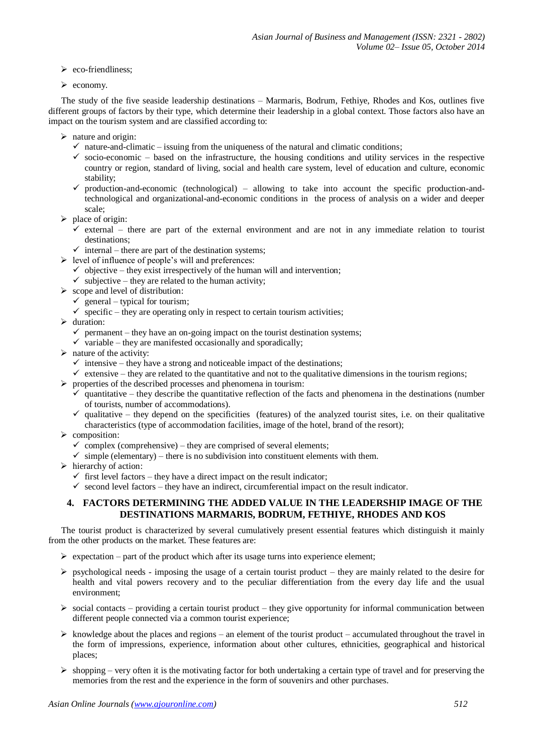- $\triangleright$  eco-friendliness;
- $\triangleright$  economy.

The study of the five seaside leadership destinations – Marmaris, Bodrum, Fethiye, Rhodes and Kos, outlines five different groups of factors by their type, which determine their leadership in a global context. Those factors also have an impact on the tourism system and are classified according to:

- $\triangleright$  nature and origin:
	- $\checkmark$  nature-and-climatic issuing from the uniqueness of the natural and climatic conditions;
	- $\checkmark$  socio-economic based on the infrastructure, the housing conditions and utility services in the respective country or region, standard of living, social and health care system, level of education and culture, economic stability;
	- $\checkmark$  production-and-economic (technological) allowing to take into account the specific production-andtechnological and organizational-and-economic conditions in the process of analysis on a wider and deeper scale;
- $\triangleright$  place of origin:
	- $\checkmark$  external there are part of the external environment and are not in any immediate relation to tourist destinations;
	- $\checkmark$  internal there are part of the destination systems;
- $\triangleright$  level of influence of people's will and preferences:
	- $\checkmark$  objective they exist irrespectively of the human will and intervention;
	- $\checkmark$  subjective they are related to the human activity;
- $\triangleright$  scope and level of distribution:
	- $\checkmark$  general typical for tourism;
	- $\checkmark$  specific they are operating only in respect to certain tourism activities;
- $\blacktriangleright$  duration:
	- $\checkmark$  permanent they have an on-going impact on the tourist destination systems;
	- $\checkmark$  variable they are manifested occasionally and sporadically;
- $\triangleright$  nature of the activity:
	- $\checkmark$  intensive they have a strong and noticeable impact of the destinations;
	- $\checkmark$  extensive they are related to the quantitative and not to the qualitative dimensions in the tourism regions;
- $\triangleright$  properties of the described processes and phenomena in tourism:
	- $\checkmark$  quantitative they describe the quantitative reflection of the facts and phenomena in the destinations (number of tourists, number of accommodations).
	- $\checkmark$  qualitative they depend on the specificities (features) of the analyzed tourist sites, i.e. on their qualitative characteristics (type of accommodation facilities, image of the hotel, brand of the resort);
- $\triangleright$  composition:
	- $\checkmark$  complex (comprehensive) they are comprised of several elements;
	- $\checkmark$  simple (elementary) there is no subdivision into constituent elements with them.
- $\triangleright$  hierarchy of action:
	- $\checkmark$  first level factors they have a direct impact on the result indicator;
	- $\checkmark$  second level factors they have an indirect, circumferential impact on the result indicator.

### **4. FACTORS DETERMINING THE ADDED VALUE IN THE LEADERSHIP IMAGE OF THE DESTINATIONS MARMARIS, BODRUM, FETHIYE, RHODES AND KOS**

The tourist product is characterized by several cumulatively present essential features which distinguish it mainly from the other products on the market. These features are:

- $\triangleright$  expectation part of the product which after its usage turns into experience element;
- $\triangleright$  psychological needs imposing the usage of a certain tourist product they are mainly related to the desire for health and vital powers recovery and to the peculiar differentiation from the every day life and the usual environment;
- $\triangleright$  social contacts providing a certain tourist product they give opportunity for informal communication between different people connected via a common tourist experience;
- $\triangleright$  knowledge about the places and regions an element of the tourist product accumulated throughout the travel in the form of impressions, experience, information about other cultures, ethnicities, geographical and historical places;
- $\triangleright$  shopping very often it is the motivating factor for both undertaking a certain type of travel and for preserving the memories from the rest and the experience in the form of souvenirs and other purchases.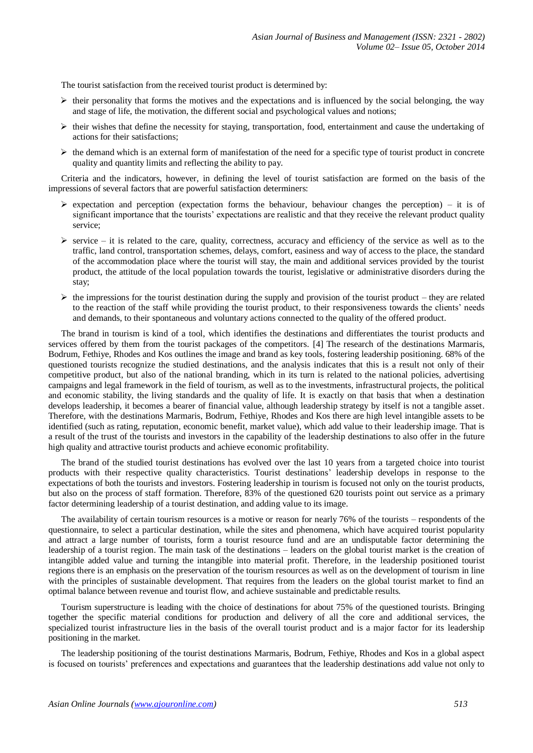The tourist satisfaction from the received tourist product is determined by:

- $\triangleright$  their personality that forms the motives and the expectations and is influenced by the social belonging, the way and stage of life, the motivation, the different social and psychological values and notions;
- $\triangleright$  their wishes that define the necessity for staying, transportation, food, entertainment and cause the undertaking of actions for their satisfactions;
- $\triangleright$  the demand which is an external form of manifestation of the need for a specific type of tourist product in concrete quality and quantity limits and reflecting the ability to pay.

Criteria and the indicators, however, in defining the level of tourist satisfaction are formed on the basis of the impressions of several factors that are powerful satisfaction determiners:

- $\triangleright$  expectation and perception (expectation forms the behaviour, behaviour changes the perception) it is of significant importance that the tourists' expectations are realistic and that they receive the relevant product quality service;
- $\triangleright$  service it is related to the care, quality, correctness, accuracy and efficiency of the service as well as to the traffic, land control, transportation schemes, delays, comfort, easiness and way of access to the place, the standard of the accommodation place where the tourist will stay, the main and additional services provided by the tourist product, the attitude of the local population towards the tourist, legislative or administrative disorders during the stay;
- $\triangleright$  the impressions for the tourist destination during the supply and provision of the tourist product they are related to the reaction of the staff while providing the tourist product, to their responsiveness towards the clients' needs and demands, to their spontaneous and voluntary actions connected to the quality of the offered product.

The brand in tourism is kind of a tool, which identifies the destinations and differentiates the tourist products and services offered by them from the tourist packages of the competitors. [4] The research of the destinations Marmaris, Bodrum, Fethiye, Rhodes and Kos outlines the image and brand as key tools, fostering leadership positioning. 68% of the questioned tourists recognize the studied destinations, and the analysis indicates that this is a result not only of their competitive product, but also of the national branding, which in its turn is related to the national policies, advertising campaigns and legal framework in the field of tourism, as well as to the investments, infrastructural projects, the political and economic stability, the living standards and the quality of life. It is exactly on that basis that when a destination develops leadership, it becomes a bearer of financial value, although leadership strategy by itself is not a tangible asset. Therefore, with the destinations Marmaris, Bodrum, Fethiye, Rhodes and Kos there are high level intangible assets to be identified (such as rating, reputation, economic benefit, market value), which add value to their leadership image. That is a result of the trust of the tourists and investors in the capability of the leadership destinations to also offer in the future high quality and attractive tourist products and achieve economic profitability.

The brand of the studied tourist destinations has evolved over the last 10 years from a targeted choice into tourist products with their respective quality characteristics. Tourist destinations' leadership develops in response to the expectations of both the tourists and investors. Fostering leadership in tourism is focused not only on the tourist products, but also on the process of staff formation. Therefore, 83% of the questioned 620 tourists point out service as a primary factor determining leadership of a tourist destination, and adding value to its image.

The availability of certain tourism resources is a motive or reason for nearly 76% of the tourists – respondents of the questionnaire, to select a particular destination, while the sites and phenomena, which have acquired tourist popularity and attract a large number of tourists, form a tourist resource fund and are an undisputable factor determining the leadership of a tourist region. The main task of the destinations – leaders on the global tourist market is the creation of intangible added value and turning the intangible into material profit. Therefore, in the leadership positioned tourist regions there is an emphasis on the preservation of the tourism resources as well as on the development of tourism in line with the principles of sustainable development. That requires from the leaders on the global tourist market to find an optimal balance between revenue and tourist flow, and achieve sustainable and predictable results.

Tourism superstructure is leading with the choice of destinations for about 75% of the questioned tourists. Bringing together the specific material conditions for production and delivery of all the core and additional services, the specialized tourist infrastructure lies in the basis of the overall tourist product and is a major factor for its leadership positioning in the market.

The leadership positioning of the tourist destinations Marmaris, Bodrum, Fethiye, Rhodes and Kos in a global aspect is focused on tourists' preferences and expectations and guarantees that the leadership destinations add value not only to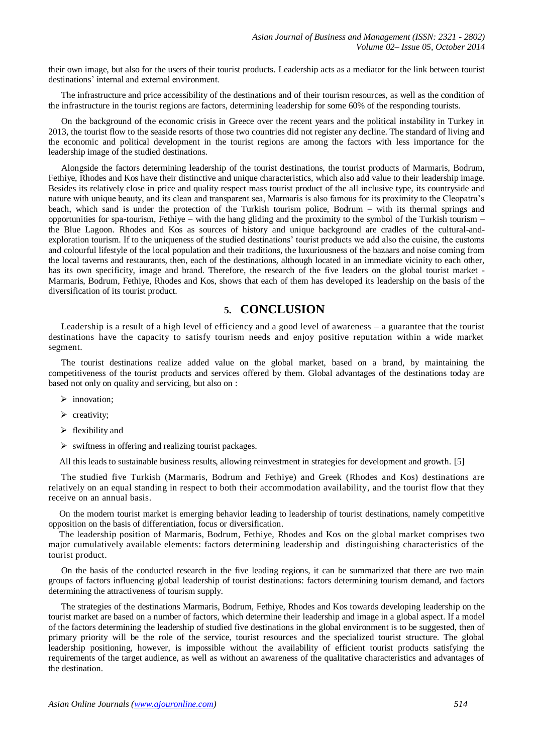their own image, but also for the users of their tourist products. Leadership acts as a mediator for the link between tourist destinations' internal and external environment.

The infrastructure and price accessibility of the destinations and of their tourism resources, as well as the condition of the infrastructure in the tourist regions are factors, determining leadership for some 60% of the responding tourists.

On the background of the economic crisis in Greece over the recent years and the political instability in Turkey in 2013, the tourist flow to the seaside resorts of those two countries did not register any decline. The standard of living and the economic and political development in the tourist regions are among the factors with less importance for the leadership image of the studied destinations.

Alongside the factors determining leadership of the tourist destinations, the tourist products of Marmaris, Bodrum, Fethiye, Rhodes and Kos have their distinctive and unique characteristics, which also add value to their leadership image. Besides its relatively close in price and quality respect mass tourist product of the all inclusive type, its countryside and nature with unique beauty, and its clean and transparent sea, Marmaris is also famous for its proximity to the Cleopatra's beach, which sand is under the protection of the Turkish tourism police, Bodrum – with its thermal springs and opportunities for spa-tourism, Fethiye – with the hang gliding and the proximity to the symbol of the Turkish tourism – the Blue Lagoon. Rhodes and Kos as sources of history and unique background are cradles of the cultural-andexploration tourism. If to the uniqueness of the studied destinations' tourist products we add also the cuisine, the customs and colourful lifestyle of the local population and their traditions, the luxuriousness of the bazaars and noise coming from the local taverns and restaurants, then, each of the destinations, although located in an immediate vicinity to each other, has its own specificity, image and brand. Therefore, the research of the five leaders on the global tourist market -Marmaris, Bodrum, Fethiye, Rhodes and Kos, shows that each of them has developed its leadership on the basis of the diversification of its tourist product.

## **5. CONCLUSION**

Leadership is a result of a high level of efficiency and a good level of awareness – a guarantee that the tourist destinations have the capacity to satisfy tourism needs and enjoy positive reputation within a wide market segment.

The tourist destinations realize added value on the global market, based on a brand, by maintaining the competitiveness of the tourist products and services offered by them. Global advantages of the destinations today are based not only on quality and servicing, but also on :

- $\triangleright$  innovation:
- $\triangleright$  creativity;
- $\triangleright$  flexibility and
- $\triangleright$  swiftness in offering and realizing tourist packages.

All this leads to sustainable business results, allowing reinvestment in strategies for development and growth. [5]

The studied five Turkish (Marmaris, Bodrum and Fethiye) and Greek (Rhodes and Kos) destinations are relatively on an equal standing in respect to both their accommodation availability, and the tourist flow that they receive on an annual basis.

On the modern tourist market is emerging behavior leading to leadership of tourist destinations, namely competitive opposition on the basis of differentiation, focus or diversification.

The leadership position of Marmaris, Bodrum, Fethiye, Rhodes and Kos on the global market comprises two major cumulatively available elements: factors determining leadership and distinguishing characteristics of the tourist product.

On the basis of the conducted research in the five leading regions, it can be summarized that there are two main groups of factors influencing global leadership of tourist destinations: factors determining tourism demand, and factors determining the attractiveness of tourism supply.

The strategies of the destinations Marmaris, Bodrum, Fethiye, Rhodes and Kos towards developing leadership on the tourist market are based on a number of factors, which determine their leadership and image in a global aspect. If a model of the factors determining the leadership of studied five destinations in the global environment is to be suggested, then of primary priority will be the role of the service, tourist resources and the specialized tourist structure. The global leadership positioning, however, is impossible without the availability of efficient tourist products satisfying the requirements of the target audience, as well as without an awareness of the qualitative characteristics and advantages of the destination.